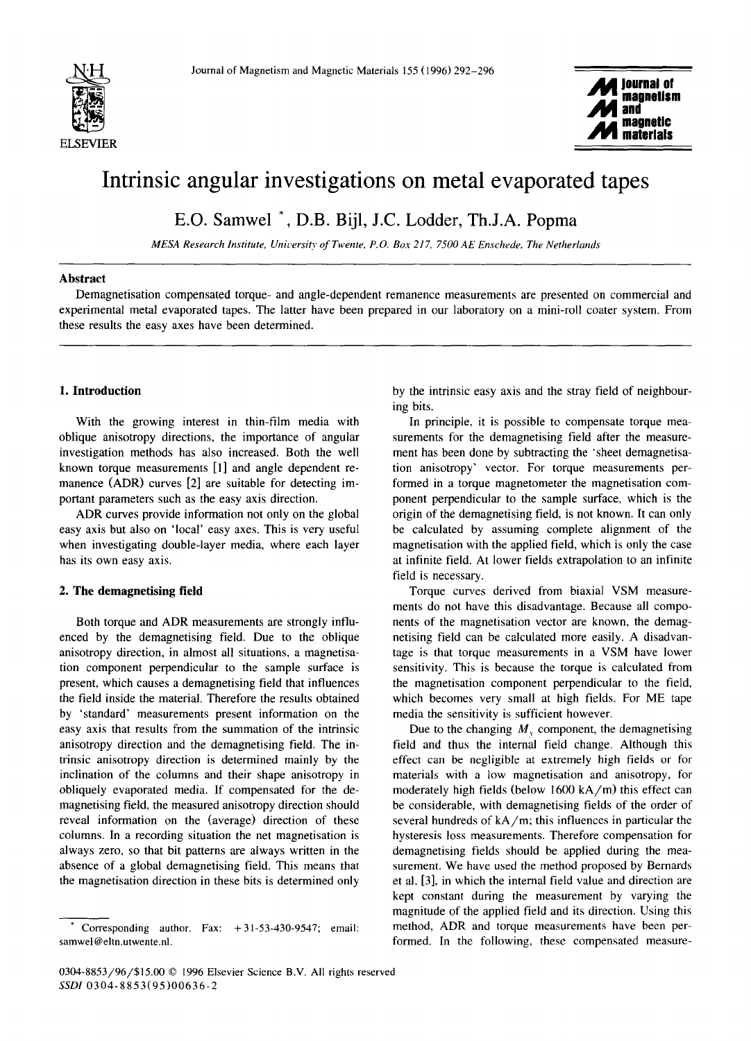



# **Intrinsic angular investigations on metal evaporated tapes**

E.O. Samwel \*, D.B. Bijl, J.C. Lodder, Th.J.A. Popma

*MESA Research Institute, University of Twente, P.O. Box 217, 7500 AE Enschede, The Netherlands* 

#### **Abstract**

Demagnetisation compensated torque- and angle-dependent remanence measurements are presented on commercial and experimental metal evaporated tapes. The latter have been prepared in our laboratory on a mini-roll coater system. From these results the easy axes have been determined.

## 1. **Introduction**

With the growing interest in thin-film media with oblique anisotropy directions, the importance of angular investigation methods has also increased. Both the well known torque measurements [1] and angle dependent remanence (ADR) curves [2] are suitable for detecting important parameters such as the easy axis direction.

ADR curves provide information not only on the global easy axis but also on 'local' easy axes. This is very useful when investigating double-layer media, where each layer has its own easy axis.

#### 2. **The demagnetising** field

Both torque and ADR measurements are strongly influenced by the demagnetising field. Due to the oblique anisotropy direction, in almost all situations, a magnetisation component perpendicular to the sample surface is present, which causes a demagnetising field that influences the field inside the material. Therefore the results obtained by 'standard' measurements present information on the easy axis that results from the summation of the intrinsic anisotropy direction and the demagnetising field. The intrinsic anisotropy direction is determined mainly by the inclination of the columns and their shape anisotropy in obliquely evaporated media. If compensated for the demagnetising field, the measured anisotropy direction should reveal information on the (average) direction of these columns. In a recording situation the net magnetisation is always zero, so that bit patterns are always written in the absence of a global demagnetising field. This means that the magnetisation direction in these bits is determined only by the intrinsic easy axis and the stray field of neighbouring bits.

In principle, it is possible to compensate torque measurements for the demagnetising field after the measurement has been done by subtracting the 'sheet demagnetisation anisotropy' vector. For torque measurements performed in a torque magnetometer the magnetisation component perpendicular to the sample surface, which is the origin of the demagnetising field, is not known. It can only be calculated by assuming complete alignment of the magnetisation with the applied field, which is only the case at infinite field. At lower fields extrapolation to an infinite field is necessary.

Torque curves derived from biaxial VSM measurements do not have this disadvantage. Because all components of the magnetisation vector are known, the demagnetising field can be calculated more easily. A disadvantage is that torque measurements in a VSM have lower sensitivity. This is because the torque is calculated from the magnetisation component perpendicular to the field, which becomes very small at high fields. For ME tape media the sensitivity is sufficient however.

Due to the changing  $M<sub>v</sub>$  component, the demagnetising field and thus the internal field change. Although this effect can be negligible at extremely high fields or for materials with a low magnetisation and anisotropy, for moderately high fields (below 1600 kA/m) this effect can be considerable, with demagnetising fields of the order of several hundreds of kA/m; this influences in particular the hysteresis loss measurements. Therefore compensation for demagnetising fields should be applied during the measurement. We have used the method proposed by Bernards et al. [3], in which the internal field value and direction are kept constant during the measurement by varying the magnitude of the applied field and its direction. Using this method, ADR and torque measurements have been performed. In the following, these compensated measure-

Corresponding author. Fax:  $+31-53-430-9547$ ; email: samwel @eltn.utwente.nl.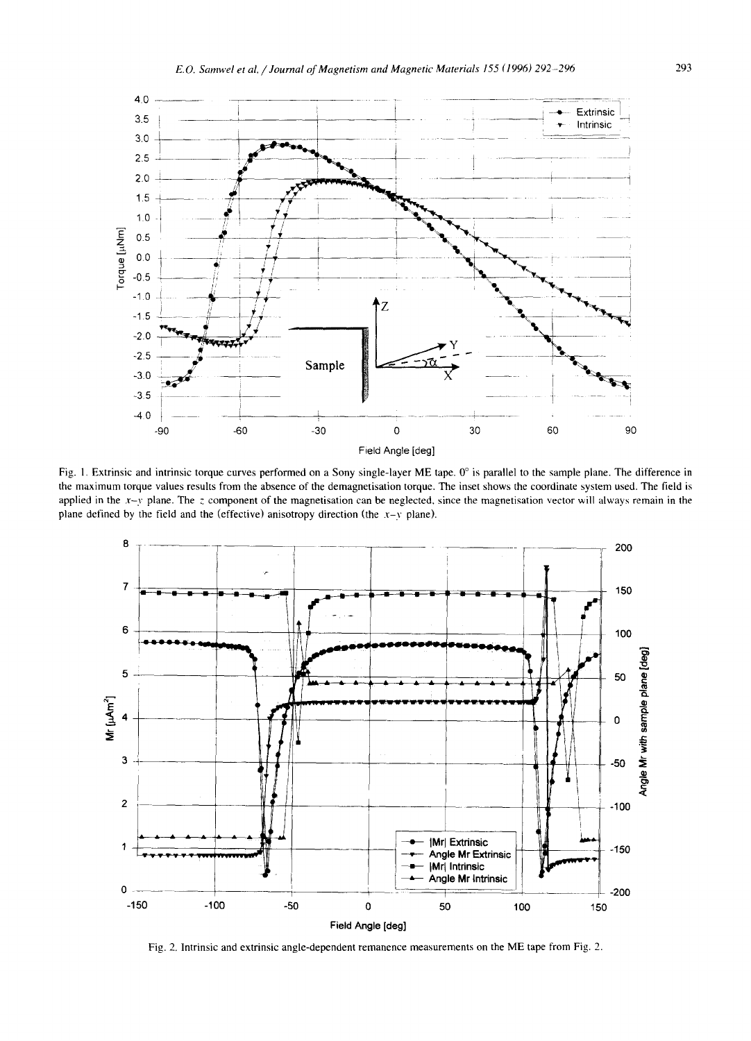

Fig. 1. Extrinsic and intrinsic torque curves performed on a Sony single-layer ME tape.  $0^{\circ}$  is parallel to the sample plane. The difference in the maximum torque values results from the absence of the demagnetisation torque. The inset shows the coordinate system used. The field is applied in the  $x-y$  plane. The z component of the magnetisation can be neglected, since the magnetisation vector will always remain in the plane defined by the field and the (effective) anisotropy direction (the  $x-y$  plane).



Fig. 2. Intrinsic and extrinsic angle-dependent remanence measurements on the ME tape from Fig. 2.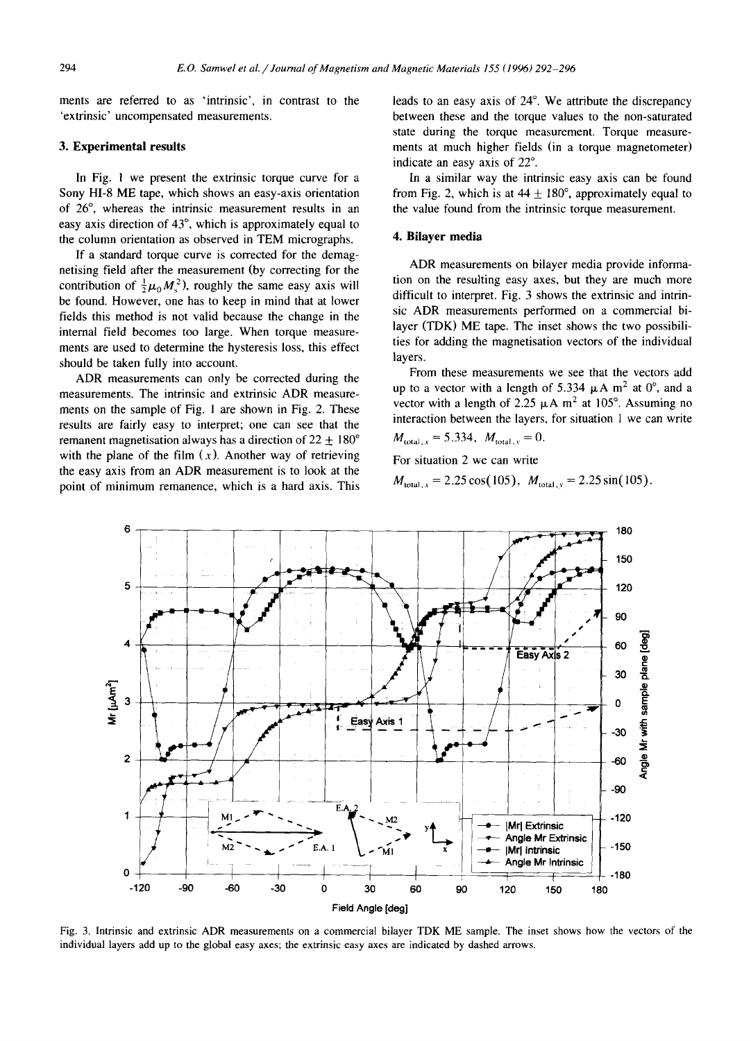ments are referred to as 'intrinsic', in contrast to the 'extrinsic' uncompensated measurements.

#### **3. Experimental results**

In Fig. 1 we present the extrinsic torque curve for a Sony HI-8 ME tape, which shows an easy-axis orientation of 26°, whereas the intrinsic measurement results in an easy axis direction of  $43^\circ$ , which is approximately equal to the column orientation as observed in TEM micrographs.

If a standard torque curve is corrected for the demagnetising field after the measurement (by correcting for the contribution of  $\frac{1}{2}\mu_0 M_s^2$ , roughly the same easy axis will be found. However, one has to keep in mind that at lower fields this method is not valid because the change in the internal field becomes too large. When torque measurements are used to determine the hysteresis loss, this effect should be taken fully into account.

ADR measurements can only be corrected during the measurements. The intrinsic and extrinsic ADR measurements on the sample of Fig. 1 are shown in Fig. 2. These results are fairly easy to interpret; one can see that the remanent magnetisation always has a direction of  $22 \pm 180^\circ$ with the plane of the film  $(x)$ . Another way of retrieving the easy axis from an ADR measurement is to look at the point of minimum remanence, which is a hard axis. This leads to an easy axis of  $24^\circ$ . We attribute the discrepancy between these and the torque values to the non-saturated state during the torque measurement. Torque measurements at much higher fields (in a torque magnetometer) indicate an easy axis of 22°.

In a similar way the intrinsic easy axis can be found from Fig. 2, which is at  $44 \pm 180^\circ$ , approximately equal to the value found from the intrinsic torque measurement.

#### 4. Bilayer **media**

ADR measurements on bilayer media provide information on the resulting easy axes, but they are much more difficult to interpret. Fig. 3 shows the extrinsic and intrinsic ADR measurements performed on a commercial bilayer (TDK) ME tape. The inset shows the two possibilities for adding the magnetisation vectors of the individual layers.

From these measurements we see that the vectors add up to a vector with a length of 5.334  $\mu$ A m<sup>2</sup> at 0°, and a vector with a length of 2.25  $\mu$ A m<sup>2</sup> at 105°. Assuming no interaction between the layers, for situation 1 we can write

$$
M_{\text{total},x} = 5.334, M_{\text{total},y} = 0.
$$

For situation 2 we can write

$$
M_{\text{total.}x} = 2.25 \cos(105), M_{\text{total.}y} = 2.25 \sin(105).
$$



**Fig. 3. Intrinsic and extrinsic ADR measurements on a commercial bilayer TDK ME sample. The inset shows how the vectors of the individual layers add up to the global easy axes; the extrinsic easy axes are indicated by dashed arrows.**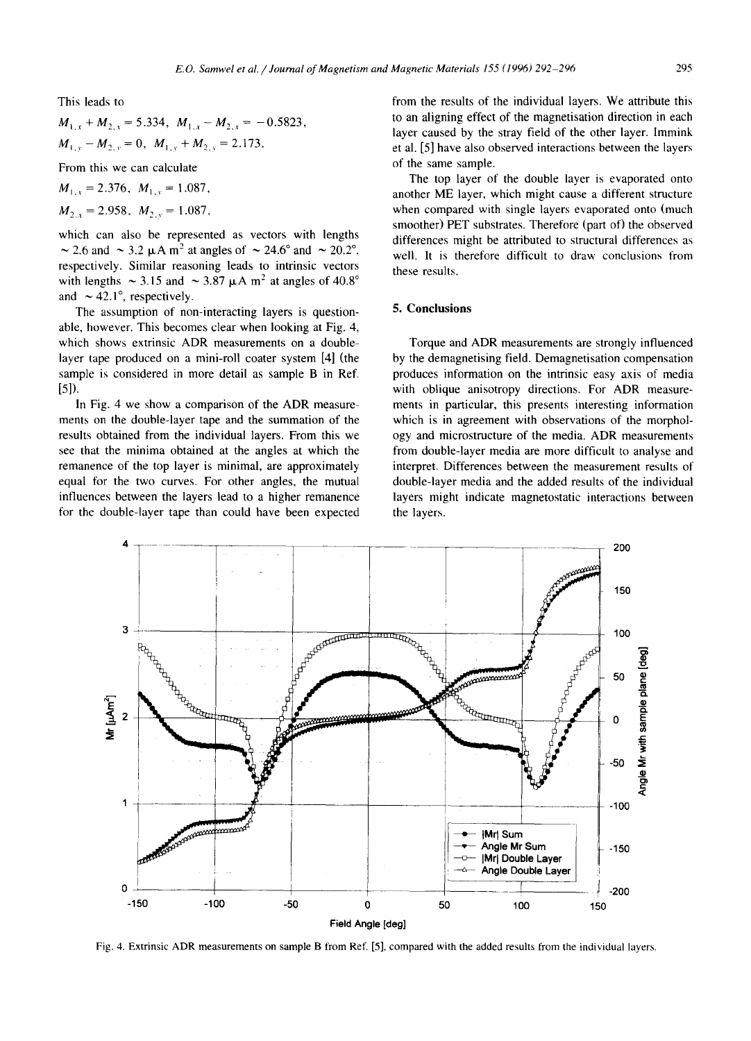This leads to

$$
M_{1,x} + M_{2,x} = 5.334, M_{1,x} - M_{2,x} = -0.5823,
$$
  

$$
M_{1,y} - M_{2,y} = 0, M_{1,y} + M_{2,y} = 2.173.
$$

From this we can calculate

 $M_{1-x} = 2.376$ ,  $M_{1-x} = 1.087$ ,  $M_{2x} = 2.958$ ,  $M_{2x} = 1.087$ ,

which can also be represented as vectors with lengths  $\sim$  2.6 and  $\sim$  3.2  $\mu$ A m<sup>2</sup> at angles of  $\sim$  24.6° and  $\sim$  20.2°, respectively. Similar reasoning leads to intrinsic vectors with lengths  $\sim$  3.15 and  $\sim$  3.87  $\mu$ A m<sup>2</sup> at angles of 40.8° and  $\sim$  42.1°, respectively.

The assumption of non-interacting layers is questionable, however. This becomes clear when looking at Fig. 4, which shows extrinsic ADR measurements on a doublelayer tape produced on a mini-roll coater system [4] (the sample is considered in more detail as sample B in Ref. [5]).

In Fig. 4 we show a comparison of the ADR measurements on the double-layer tape and the summation of the results obtained from the individual layers. From this we see that the minima obtained at the angles at which the remanence of the top layer is minimal, are approximately equal for the two curves. For other angles, the mutual influences between the layers lead to a higher remanence for the double-layer tape than could have been expected from the results of the individual layers. We attribute this to an aligning effect of the magnetisation direction in each layer caused by the stray field of the other layer. Immink et al. [5] have also observed interactions between the layers of the same sample.

The top layer of the double layer is evaporated onto another ME layer, which might cause a different structure when compared with single layers evaporated onto (much smoother) PET substrates. Therefore (part of) the observed differences might be attributed to structural differences as well. It is therefore difficult to draw conclusions from these results.

#### **5. Conclusions**

Torque and ADR measurements are strongly influenced by the demagnetising field. Demagnetisation compensation produces information on the intrinsic easy axis of media with oblique anisotropy directions. For ADR measurements in particular, this presents interesting information which is in agreement with observations of the morphology and microstructure of the media. ADR measurements from double-layer media are more difficult to analyse and interpret. Differences between the measurement results of double-layer media and the added results of the individual layers might indicate magnetostatic interactions between the layers.



Fig. 4. Extrinsic ADR measurements on sample B from Ref. [5], compared with the added results from the individual layers.